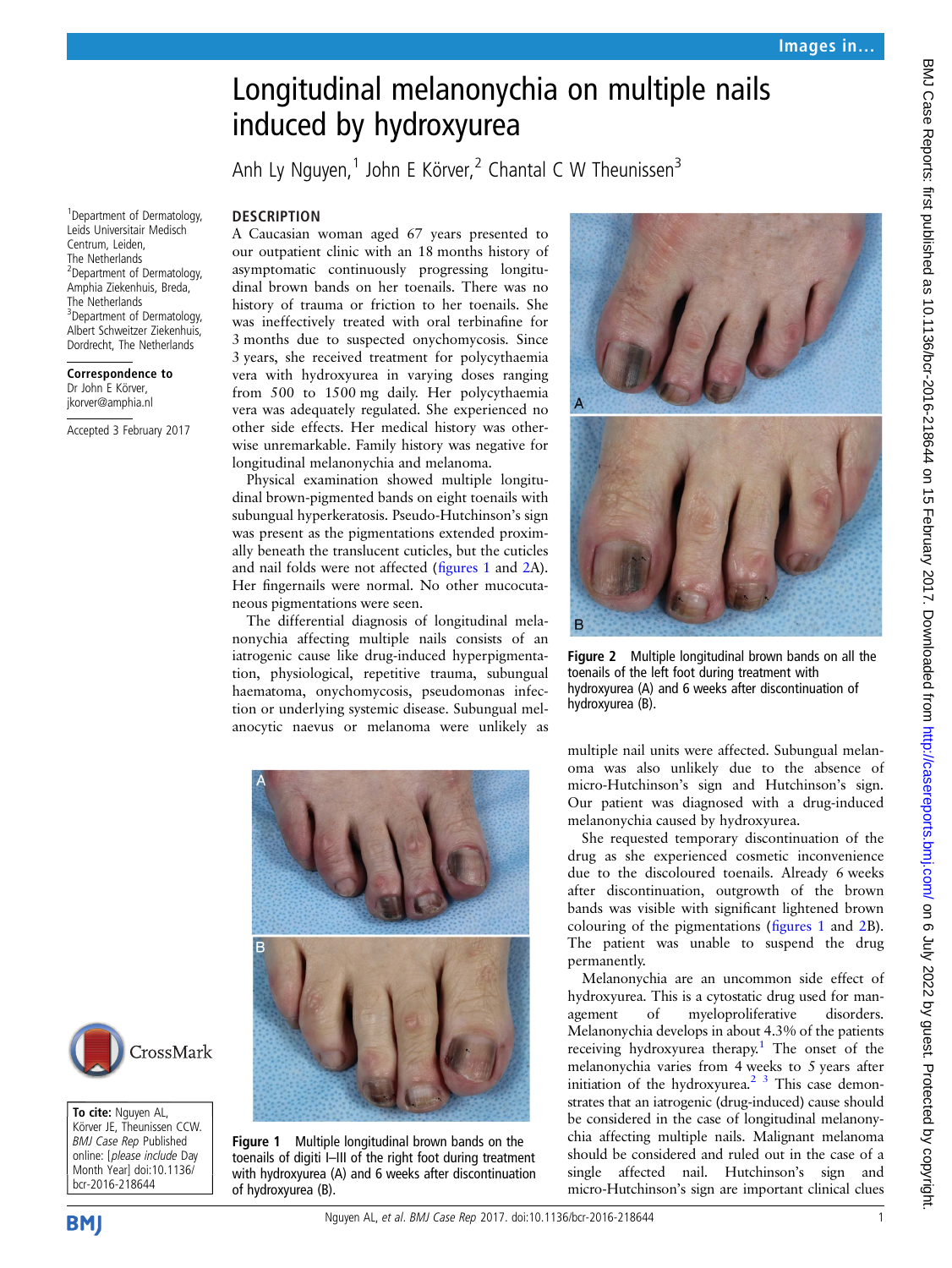## Longitudinal melanonychia on multiple nails induced by hydroxyurea

Anh Ly Nguyen, $1$  John E Körver, $2$  Chantal C W Theunissen $3$ 

## **DESCRIPTION**

A Caucasian woman aged 67 years presented to our outpatient clinic with an 18 months history of asymptomatic continuously progressing longitudinal brown bands on her toenails. There was no history of trauma or friction to her toenails. She was ineffectively treated with oral terbinafine for 3 months due to suspected onychomycosis. Since 3 years, she received treatment for polycythaemia vera with hydroxyurea in varying doses ranging from 500 to 1500 mg daily. Her polycythaemia vera was adequately regulated. She experienced no other side effects. Her medical history was otherwise unremarkable. Family history was negative for longitudinal melanonychia and melanoma.

Physical examination showed multiple longitudinal brown-pigmented bands on eight toenails with subungual hyperkeratosis. Pseudo-Hutchinson's sign was present as the pigmentations extended proximally beneath the translucent cuticles, but the cuticles and nail folds were not affected (figures 1 and 2A). Her fingernails were normal. No other mucocutaneous pigmentations were seen.

The differential diagnosis of longitudinal melanonychia affecting multiple nails consists of an iatrogenic cause like drug-induced hyperpigmentation, physiological, repetitive trauma, subungual haematoma, onychomycosis, pseudomonas infection or underlying systemic disease. Subungual melanocytic naevus or melanoma were unlikely as



Figure 1 Multiple longitudinal brown bands on the toenails of digiti I–III of the right foot during treatment with hydroxyurea (A) and 6 weeks after discontinuation of hydroxyurea (B).



Figure 2 Multiple longitudinal brown bands on all the toenails of the left foot during treatment with hydroxyurea (A) and 6 weeks after discontinuation of hydroxyurea (B).

multiple nail units were affected. Subungual melanoma was also unlikely due to the absence of micro-Hutchinson's sign and Hutchinson's sign. Our patient was diagnosed with a drug-induced melanonychia caused by hydroxyurea.

She requested temporary discontinuation of the drug as she experienced cosmetic inconvenience due to the discoloured toenails. Already 6 weeks after discontinuation, outgrowth of the brown bands was visible with significant lightened brown colouring of the pigmentations (figures 1 and 2B). The patient was unable to suspend the drug permanently.

Melanonychia are an uncommon side effect of hydroxyurea. This is a cytostatic drug used for management of myeloproliferative disorders. Melanonychia develops in about 4.3% of the patients receiving hydroxyurea therapy.<sup>1</sup> The onset of the melanonychia varies from 4 weeks to 5 years after initiation of the hydroxyurea. $2<sup>3</sup>$  This case demonstrates that an iatrogenic (drug-induced) cause should be considered in the case of longitudinal melanonychia affecting multiple nails. Malignant melanoma should be considered and ruled out in the case of a single affected nail. Hutchinson's sign and micro-Hutchinson's sign are important clinical clues

1 Department of Dermatology, Leids Universitair Medisch Centrum, Leiden, The Netherlands 2 Department of Dermatology, Amphia Ziekenhuis, Breda, The Netherlands <sup>3</sup> Department of Dermatology, Albert Schweitzer Ziekenhuis, Dordrecht, The Netherlands

Correspondence to Dr John E Körver, jkorver@amphia.nl

Accepted 3 February 2017



To cite: Nguyen AL, Körver JE, Theunissen CCW. BMJ Case Rep Published online: [please include Day Month Year] doi:10.1136/ bcr-2016-218644

**BMJ** 

BMJ Case Reports: first published as 10.1136/bcr-2016-218644 on 15 February 2017. Downloaded from http://casereports.bmj.com/ on 6 July 2022 by guest. Protected by copyright BMJ Case Reports: Irist published as 10.1136/bcr-2016-218644 on 15 February 2017. Downloaded from <http://casereports.bmj.com/> on 6 July 2022 by guest. Protected by copyright.